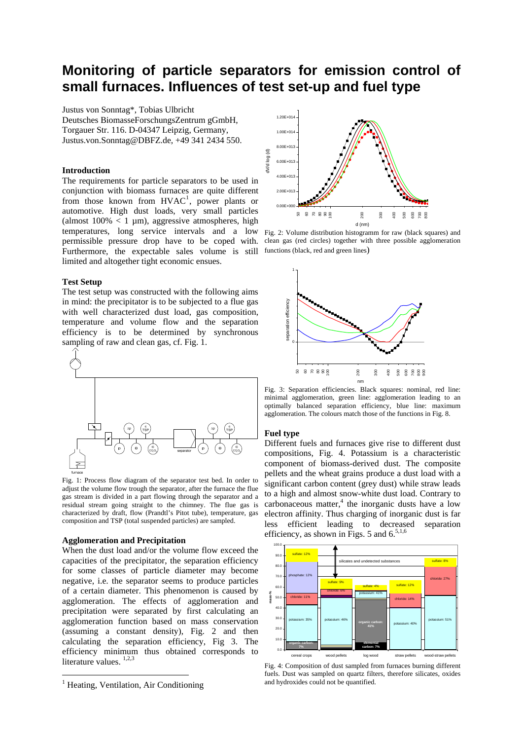### **Monitoring of particle separators for emission control of small furnaces. Influences of test set-up and fuel type**

Justus von Sonntag\*, Tobias Ulbricht Deutsches BiomasseForschungsZentrum gGmbH, Torgauer Str. 116. D-04347 Leipzig, Germany, Justus.von.Sonntag@DBFZ.de, +49 341 2434 550.

#### **Introduction**

The requirements for particle separators to be used in conjunction with biomass furnaces are quite different from those known from  $HVAC<sup>1</sup>$  $HVAC<sup>1</sup>$  $HVAC<sup>1</sup>$ , power plants or automotive. High dust loads, very small particles (almost  $100\% < 1 \mu m$ ), aggressive atmospheres, high temperatures, long service intervals and a low permissible pressure drop have to be coped with. Furthermore, the expectable sales volume is still functions (black, red and green lines) limited and altogether tight economic ensues.

#### **Test Setup**

The test setup was constructed with the following aims in mind: the precipitator is to be subjected to a flue gas with well characterized dust load, gas composition, temperature and volume flow and the separation efficiency is to be determined by synchronous sampling of raw and clean gas, cf. Fig. 1.



Fig. 1: Process flow diagram of the separator test bed. In order to adjust the volume flow trough the separator, after the furnace the flue gas stream is divided in a part flowing through the separator and a residual stream going straight to the chimney. The flue gas is characterized by draft, flow (Prandtl's Pitot tube), temperature, gas composition and TSP (total suspended particles) are sampled.

#### **Agglomeration and Precipitation**

When the dust load and/or the volume flow exceed the capacities of the precipitator, the separation efficiency for some classes of particle diameter may become negative, i.e. the separator seems to produce particles of a certain diameter. This phenomenon is caused by agglomeration. The effects of agglomeration and precipitation were separated by first calculating an agglomeration function based on mass conservation (assuming a constant density), Fig. 2 and then calculating the separation efficiency, Fig 3. The efficiency minimum thus obtained corresponds to literature values. <sup>1,2,3</sup>

1



F ig. 2: Volume distribution histogramm for raw (black squares) and clean gas ( red circles) together with three possible agglomeration



Fig. 3: Separation efficiencies. Black squares: nominal, red line: minimal agglomeration, green line: agglomeration leading to an optimally balanced separation efficiency, blue line: maximum agglomeration. The colours match those of the functions in Fig. 8.

#### **Fuel type**

Different fuels and furnaces give rise to different dust compositions, Fig. 4. Potassium is a characteristic component of biomass-derived dust. The composite pellets and the wheat grains produce a dust load with a significant carbon content (grey dust) while straw leads to a high and almost snow-white dust load. Contrary to  $carbonaceous matter<sup>4</sup>$ , the inorganic dusts have a low electron affinity. Thus charging of inorganic dust is far less efficient leading to decreased separation efficiency, as shown in Figs. 5 and  $6$ .<sup>5,1,6</sup>



Fig. 4: Composition of dust sampled from furnaces burning different fuels. Dust was sampled on quartz filters, therefore silicates, oxides and hydroxides could not be quantified.

<span id="page-0-0"></span><sup>&</sup>lt;sup>1</sup> Heating, Ventilation, Air Conditioning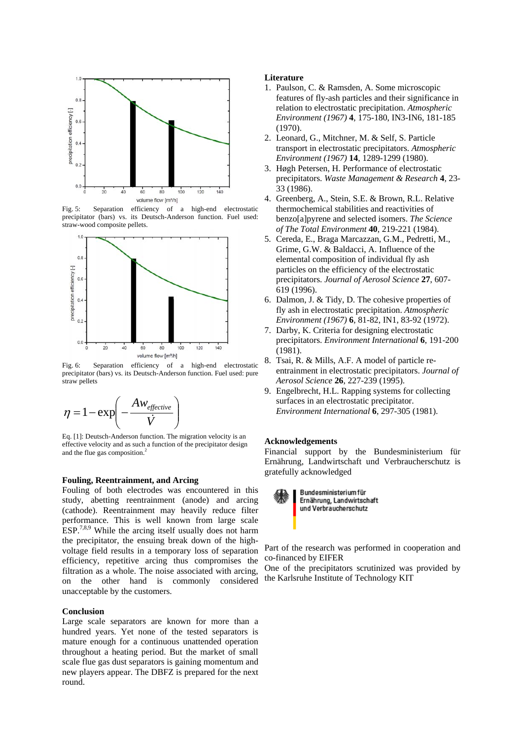

Fig. 5: Separation efficiency of a high-end electrostatic precipitator (bars) vs. its Deutsch-Anderson function. Fuel used: straw-wood composite pellets.



Fig. 6: Separation efficiency of a high-end electrostatic precipitator (bars) vs. its Deutsch-Anderson function. Fuel used: pure straw pellets



Eq. [1]: Deutsch-Anderson function. The migration velocity is an effective velocity and as such a function of the precipitator design and the flue gas composition.<sup>2</sup>

#### **Fouling, Reentrainment, and Arcing**

Fouling of both electrodes was encountered in this study, abetting reentrainment (anode) and arcing (cathode). Reentrainment may heavily reduce filter performance. This is well known from large scale  $ESP<sup>7,8,9</sup>$  While the arcing itself usually does not harm the precipitator, the ensuing break down of the highvoltage field results in a temporary loss of separation efficiency, repetitive arcing thus compromises the filtration as a whole. The noise associated with arcing, on the other hand is commonly considered unacceptable by the customers.

#### **Conclusion**

Large scale separators are known for more than a hundred years. Yet none of the tested separators is mature enough for a continuous unattended operation throughout a heating period. But the market of small scale flue gas dust separators is gaining momentum and new players appear. The DBFZ is prepared for the next round.

#### Literature

- . Paulson, C. & Ramsden, A. Some microscopic 1 features of fly-ash particles and their significance in relation to electrostatic precipitation. Atmospheric *Environment (1967)* **4**, 175-180, IN3-IN6, 181-185 (1970).
- 2. Leonard, G., Mitchner, M. & Self, S. Particle transport in electrostatic precipitators. Atmospheric *Environment (1967)* **14**, 1289-1299 (1980).
- 3. Høgh Petersen, H. Performance of electrostatic *h* **4**, 23- precipitators. *Waste Management & Researc* 33 (1986).
- 4. Greenberg, A., Stein, S.E. & Brown, R.L. Relative thermochemical stabilities and reactivities of benzo[a]pyrene and selected isomers. *The Science of The Total Environment* **40**, 219-221 (1984).
- 5. Cereda, E., Braga Marcazzan, G.M., Pedretti, M., precipitators. *Journal of Aerosol Science* 27, 607-Grime, G.W. & Baldacci, A. Influence of the elemental composition of individual fly ash particles on the efficiency of the electrostatic 619 (1996).
- 6. Dalmon, J. & Tidy, D. The cohesive properties of fly ash in electrostatic precipitation. Atmospheric *Environment (1967)* **6**, 81-82, IN1, 83-92 (1972).
- 7. Darby, K. Criteria for designing electrostatic 0 precipitators. *Environment International* **6**, 191-20 (1981).
- 8. Tsai, R. & Mills, A.F. A model of particle reentrainment in electrostatic precipitators. Journal of *Aerosol Science* **26**, 227-239 (1995).
- 9 . Engelbrecht, H.L. Rapping systems for collecting surfaces in an electrostatic precipitator. *Environment International* **6**, 297-305 (1981).

#### **cknowledgements A**

Financial support by the Bundesministerium für Ernährung, Landwirtschaft und Verbraucherschutz is gratefully acknowledged



Part of the research was performed in cooperation and co-financed by EIFER

the Karlsruhe Institute of Technology KIT One of the precipitators scrutinized was provided by